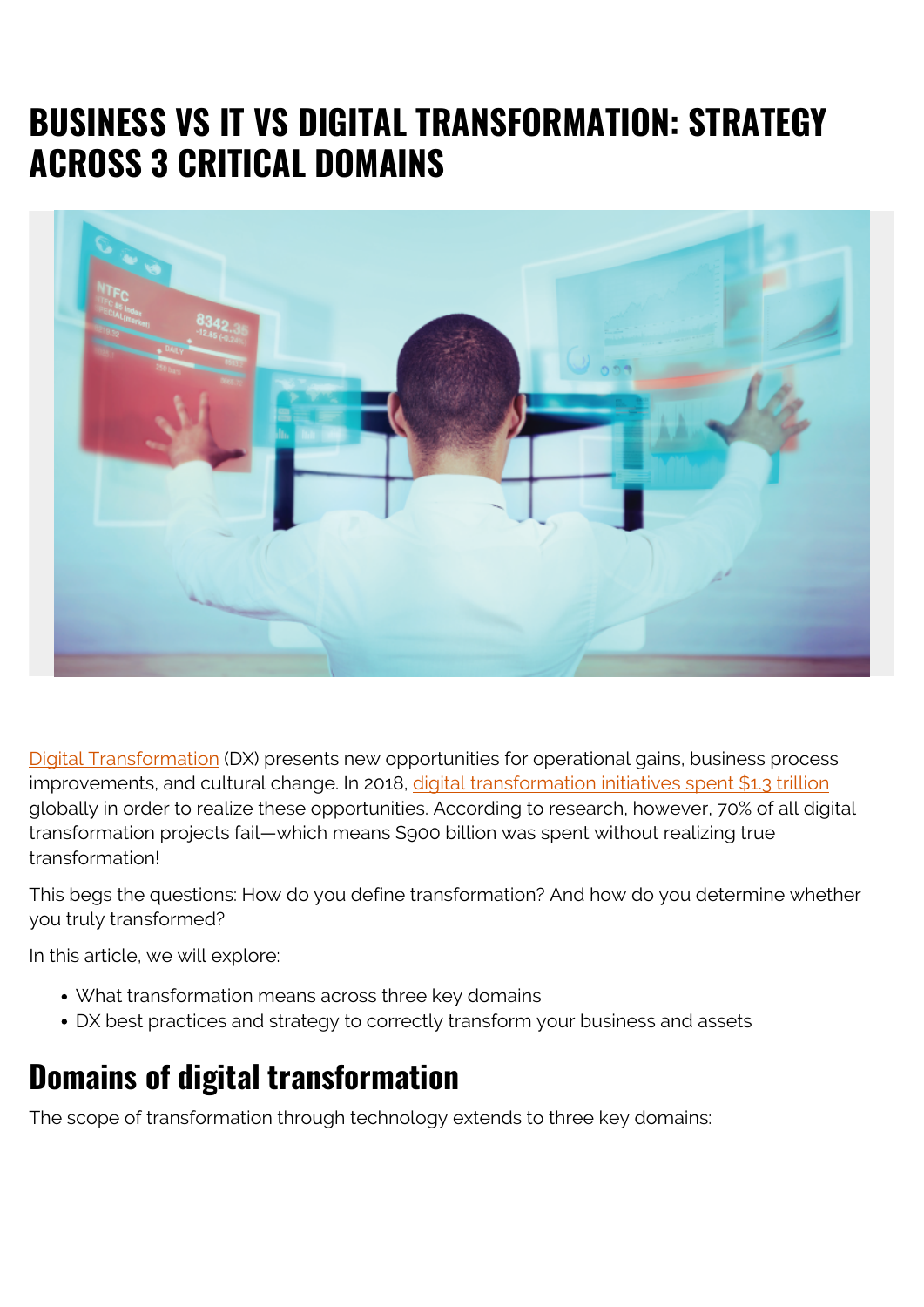# **BUSINESS VS IT VS DIGITAL TRANSFORMATION: STRATEGY ACROSS 3 CRITICAL DOMAINS**



[Digital Transformation](https://blogs.bmc.com/blogs/what-is-digital-transformation/) (DX) presents new opportunities for operational gains, business process improvements, and cultural change. In 2018, [digital transformation initiatives spent \\$1.3 trillion](https://hbr.org/2019/03/digital-transformation-is-not-about-technology) globally in order to realize these opportunities. According to research, however, 70% of all digital transformation projects fail—which means \$900 billion was spent without realizing true transformation!

This begs the questions: How do you define transformation? And how do you determine whether you truly transformed?

In this article, we will explore:

- What transformation means across three key domains
- DX best practices and strategy to correctly transform your business and assets

## **Domains of digital transformation**

The scope of transformation through technology extends to three key domains: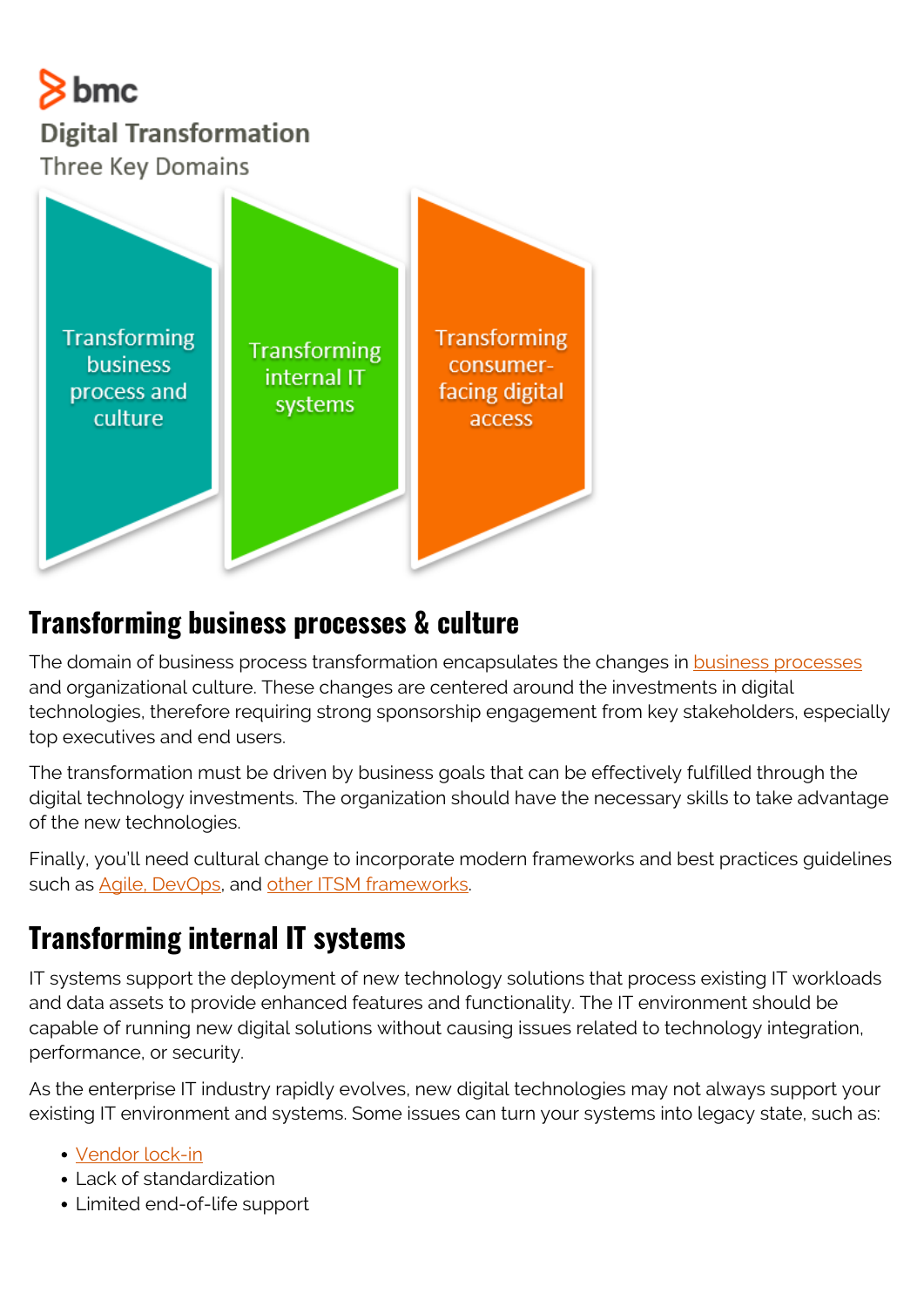## $8<sub>bmc</sub>$ **Digital Transformation** Three Key Domains



#### **Transforming business processes & culture**

The domain of business process transformation encapsulates the changes in **business processes** and organizational culture. These changes are centered around the investments in digital technologies, therefore requiring strong sponsorship engagement from key stakeholders, especially top executives and end users.

The transformation must be driven by business goals that can be effectively fulfilled through the digital technology investments. The organization should have the necessary skills to take advantage of the new technologies.

Finally, you'll need cultural change to incorporate modern frameworks and best practices guidelines such as [Agile, DevOps](https://blogs.bmc.com/blogs/devops-vs-agile-whats-the-difference-and-how-are-they-related/), and [other ITSM frameworks.](https://blogs.bmc.com/blogs/itsm-frameworks-popular/)

## **Transforming internal IT systems**

IT systems support the deployment of new technology solutions that process existing IT workloads and data assets to provide enhanced features and functionality. The IT environment should be capable of running new digital solutions without causing issues related to technology integration, performance, or security.

As the enterprise IT industry rapidly evolves, new digital technologies may not always support your existing IT environment and systems. Some issues can turn your systems into legacy state, such as:

- [Vendor lock-in](https://blogs.bmc.com/blogs/vendor-lock-in/)
- Lack of standardization
- Limited end-of-life support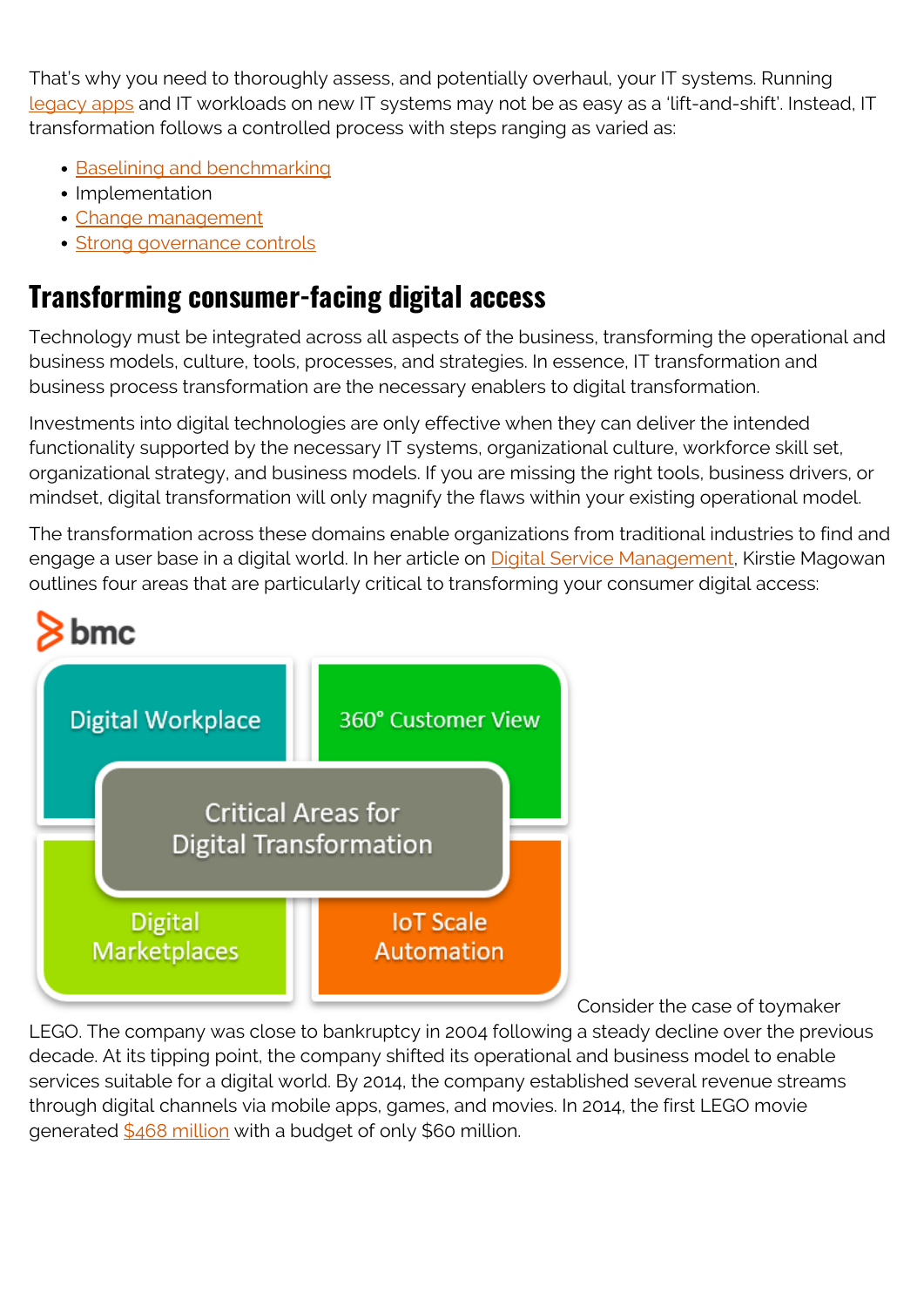That's why you need to thoroughly assess, and potentially overhaul, your IT systems. Running [legacy apps](https://blogs.bmc.com/blogs/application-software-modernization/) and IT workloads on new IT systems may not be as easy as a 'lift-and-shift'. Instead, IT transformation follows a controlled process with steps ranging as varied as:

- **[Baselining and benchmarking](https://blogs.bmc.com/blogs/it-benchmarking-metrics/)**
- Implementation
- [Change management](https://blogs.bmc.com/blogs/types-levels-change-management/)
- [Strong governance controls](https://blogs.bmc.com/blogs/governance-vs-management/)

#### **Transforming consumer-facing digital access**

Technology must be integrated across all aspects of the business, transforming the operational and business models, culture, tools, processes, and strategies. In essence, IT transformation and business process transformation are the necessary enablers to digital transformation.

Investments into digital technologies are only effective when they can deliver the intended functionality supported by the necessary IT systems, organizational culture, workforce skill set, organizational strategy, and business models. If you are missing the right tools, business drivers, or mindset, digital transformation will only magnify the flaws within your existing operational model.

The transformation across these domains enable organizations from traditional industries to find and engage a user base in a digital world. In her article on **Digital Service Management**, Kirstie Magowan outlines four areas that are particularly critical to transforming your consumer digital access:



Consider the case of toymaker

LEGO. The company was close to bankruptcy in 2004 following a steady decline over the previous decade. At its tipping point, the company shifted its operational and business model to enable services suitable for a digital world. By 2014, the company established several revenue streams through digital channels via mobile apps, games, and movies. In 2014, the first LEGO movie generated [\\$468 million](https://biznology.com/2016/12/11-inspiring-case-studies-digital-transformation/) with a budget of only \$60 million.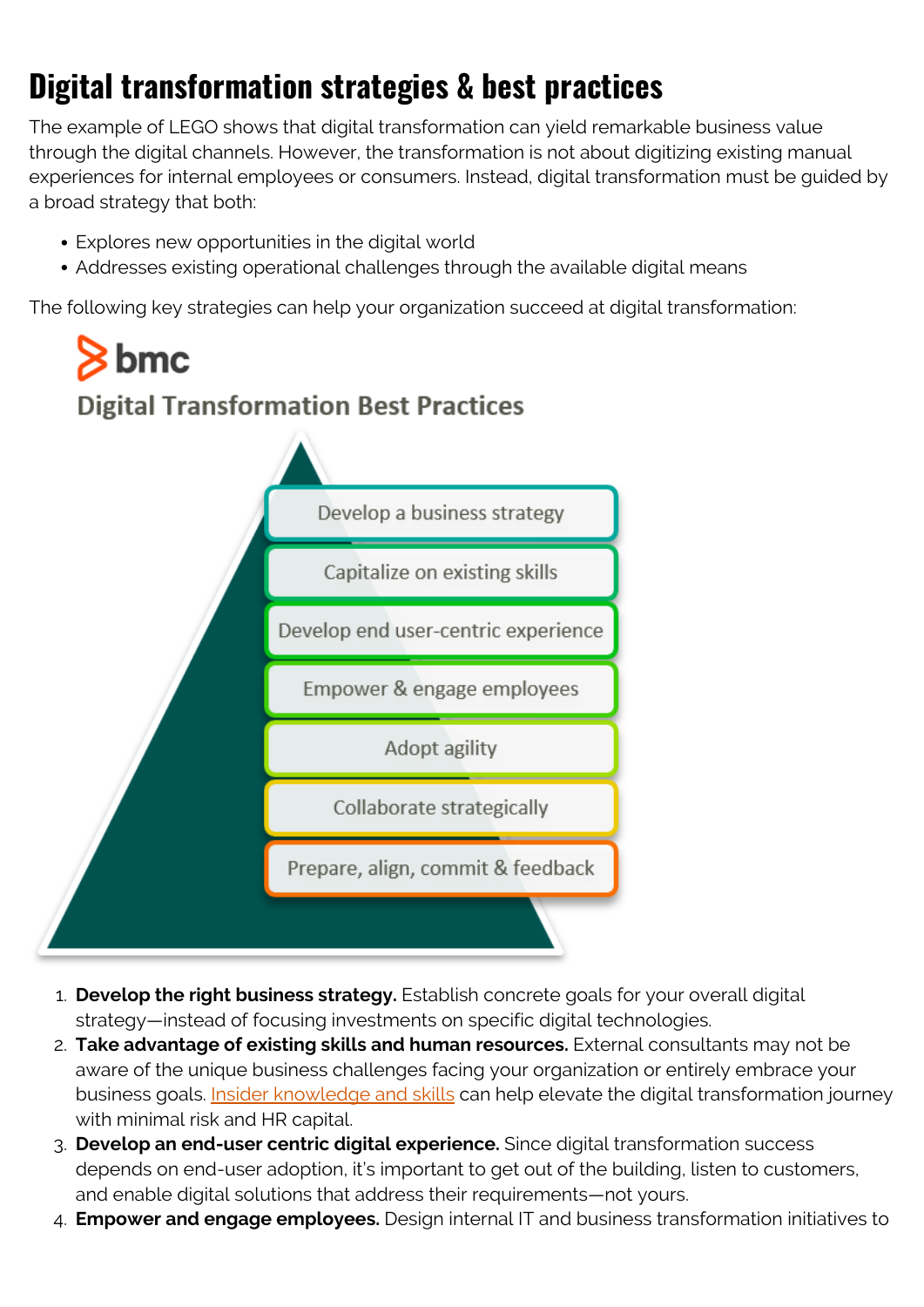## **Digital transformation strategies & best practices**

The example of LEGO shows that digital transformation can yield remarkable business value through the digital channels. However, the transformation is not about digitizing existing manual experiences for internal employees or consumers. Instead, digital transformation must be guided by a broad strategy that both:

- Explores new opportunities in the digital world
- Addresses existing operational challenges through the available digital means

The following key strategies can help your organization succeed at digital transformation:

# $\overline{\phantom{1}}$ bmc **Digital Transformation Best Practices**



- 1. **Develop the right business strategy.** Establish concrete goals for your overall digital strategy—instead of focusing investments on specific digital technologies.
- 2. **Take advantage of existing skills and human resources.** External consultants may not be aware of the unique business challenges facing your organization or entirely embrace your business goals. [Insider knowledge and skills](https://blogs.bmc.com/blogs/knowledge-management-best-practices/) can help elevate the digital transformation journey with minimal risk and HR capital.
- 3. **Develop an end-user centric digital experience.** Since digital transformation success depends on end-user adoption, it's important to get out of the building, listen to customers, and enable digital solutions that address their requirements—not yours.
- 4. **Empower and engage employees.** Design internal IT and business transformation initiatives to